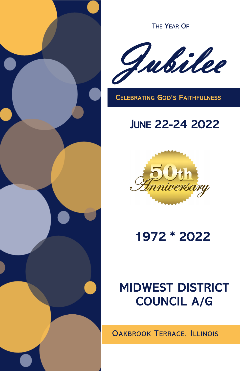

THE YEAR OF



CELEBRATING GOD'S FAITHFULNESS

# JUNE 22-24 2022



1972 \* 2022

# MIDWEST DISTRICT COUNCIL A/G

OAKBROOK TERRACE, ILLINOIS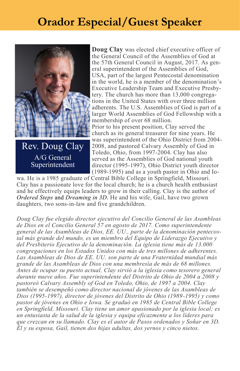## **Orador Especial/Guest Speaker**



Rev. Doug Clay A/G General Superintendent

**Doug Clay** was elected chief executive officer of the General Council of the Assemblies of God at the 57th General Council in August, 2017. As general superintendent of the Assemblies of God, USA, part of the largest Pentecostal denomination in the world, he is a member of the denomination's Executive Leadership Team and Executive Presbytery. The church has more than 13,000 congregations in the United States with over three million adherents. The U.S. Assemblies of God is part of a larger World Assemblies of God Fellowship with a membership of over 68 million.

Prior to his present position, Clay served the church as its general treasurer for nine years. He was superintendent of the Ohio District from 2004- 2008, and pastored Calvary Assembly of God in Toledo, Ohio, from 1997-2004. Clay has also served as the Assemblies of God national youth director (1995-1997), Ohio District youth director (1989-1995) and as a youth pastor in Ohio and Io-

wa. He is a 1985 graduate of Central Bible College in Springfield, Missouri. Clay has a passionate love for the local church; he is a church health enthusiast and he effectively equips leaders to grow in their calling. Clay is the author of *[Ordered Steps](https://myhealthychurch.com/store/startitem.cfm?item=024232&cat=iNEWTITLES&mastercat=&path=AGMHCINDEX)* and *[Dreaming in 3D](http://myhealthychurch.com/store/startitem.cfm?item=500110&cat=AGMHCINDEX&mastercat=&path=AGMHCINDEX)*. He and his wife, Gail, have two grown daughters, two sons-in-law and five grandchildren.

*Doug Clay fue elegido director ejecutivo del Concilio General de las Asambleas de Dios en el Concilio General 57 en agosto de 2017. Como superintendente general de las Asambleas de Dios, EE. UU., parte de la denominación pentecostal más grande del mundo, es un miembro del Equipo de Liderazgo Ejecutivo y del Presbiterio Ejecutivo de la denominación. La iglesia tiene más de 13.000 congregaciones en los Estados Unidos con más de tres millones de adherentes. Las Asambleas de Dios de EE. UU. son parte de una Fraternidad mundial más grande de las Asambleas de Dios con una membresía de más de 68 millones. Antes de ocupar su puesto actual, Clay sirvió a la iglesia como tesorero general durante nueve años. Fue superintendente del Distrito de Ohio de 2004 a 2008 y pastoreó Calvary Assembly of God en Toledo, Ohio, de 1997 a 2004. Clay también se desempeñó como director nacional de jóvenes de las Asambleas de Dios (1995-1997), director de jóvenes del Distrito de Ohio (1989-1995) y como pastor de jóvenes en Ohio e Iowa. Se graduó en 1985 de Central Bible College en Springfield, Missouri. Clay tiene un amor apasionado por la iglesia local; es un entusiasta de la salud de la iglesia y equipa eficazmente a los líderes para que crezcan en su llamado. Clay es el autor de Pasos ordenados y Soñar en 3D. Él y su esposa, Gail, tienen dos hijas adultas, dos yernos y cinco nietos.*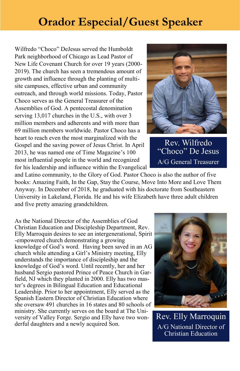## **Orador Especial/Guest Speaker**

Wilfredo "Choco" DeJesus served the Humboldt Park neighborhood of Chicago as Lead Pastor of New Life Covenant Church for over 19 years (2000- 2019). The church has seen a tremendous amount of growth and influence through the planting of multisite campuses, effective urban and community outreach, and through world missions. Today, Pastor Choco serves as the General Treasurer of the Assemblies of God. A pentecostal denomination serving 13,017 churches in the U.S., with over 3 million members and adherents and with more than 69 million members worldwide. Pastor Choco has a heart to reach even the most marginalized with the Gospel and the saving power of Jesus Christ. In April 2013, he was named one of Time Magazine's 100 most influential people in the world and recognized for his leadership and influence within the Evangelical



Rev. Wilfredo "Choco" De Jesus A/G General Treasurer

and Latino community, to the Glory of God. Pastor Choco is also the author of five books: Amazing Faith, In the Gap, Stay the Course, Move Into More and Love Them Anyway. In December of 2018, he graduated with his doctorate from Southeastern University in Lakeland, Florida. He and his wife Elizabeth have three adult children and five pretty amazing grandchildren.

As the National Director of the Assemblies of God Christian Education and Discipleship Department, Rev. Elly Marroquin desires to see an intergenerational, Spirit -empowered church demonstrating a growing knowledge of God's word. Having been saved in an AG church while attending a Girl's Ministry meeting, Elly understands the importance of discipleship and the knowledge of God's word. Until recently, her and her husband Sergio pastored Prince of Peace Church in Garfield, NJ which they planted in 2000. Elly has two master's degrees in Bilingual Education and Educational Leadership. Prior to her appointment, Elly served as the Spanish Eastern Director of Christian Education where she oversaw 491 churches in 16 states and 80 schools of ministry. She currently serves on the board at The University of Valley Forge. Sergio and Elly have two wonderful daughters and a newly acquired Son.



Rev. Elly Marroquin A/G National Director of Christian Education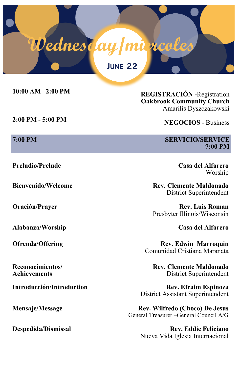# **Wednes <mark>(</mark>ay | mi<sub>e</sub>rcoles** JUNE 22

**10:00 AM– 2:00 PM REGISTRACIÓN -**Registration

**2:00 PM - 5:00 PM NEGOCIOS -** Business

**Preludio/Prelude Casa del Alfarero**

**Alabanza/Worship Casa del Alfarero**

**Reconocimientos/ Achievements**

**Oakbrook Community Church** Amarilis Dyszczakowski

#### **7:00 PM** SERVICIO/SERVICE **7:00 PM**

Worship

**Bienvenido/Welcome Rev. Clemente Maldonado** District Superintendent

**Oración/Prayer Rev. Luis Roman** Presbyter Illinois/Wisconsin

**Ofrenda/Offering Rev. Edwin Marroquin** Comunidad Cristiana Maranata

> **Rev. Clemente Maldonado** District Superintendent

**Introducción/Introduction Rev. Efraim Espinoza** District Assistant Superintendent

**Mensaje/Message Rev. Wilfredo (Choco) De Jesus** General Treasurer –General Council A/G

**Despedida/Dismissal Rev. Eddie Feliciano** Nueva Vida Iglesia Internacional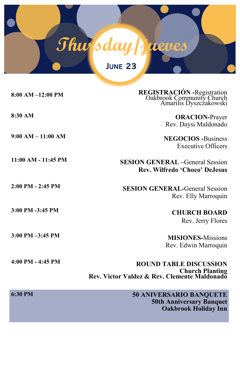

| $8:00$ AM $-12:00$ PM | REGISTRACIÓN -Registration<br>Oakbrook Community Church<br>Amarilis Dyszczakowski                |
|-----------------------|--------------------------------------------------------------------------------------------------|
| 8:30 AM               | <b>ORACION-Prayer</b><br>Rev. Daysi Maldonado                                                    |
| $9:00 AM - 11:00 AM$  | <b>NEGOCIOS</b> -Business<br><b>Executive Officers</b>                                           |
| 11:00 AM - 11:45 PM   | <b>SESION GENERAL</b> -General Session<br>Rev. Wilfredo 'Choco' DeJesus                          |
| $2:00$ PM $- 2:45$ PM | <b>SESION GENERAL-General Session</b><br>Rev. Elly Marroquin                                     |
| 3:00 PM -3:45 PM      | <b>CHURCH BOARD</b><br>Rev. Jerry Flores                                                         |
| $3:00$ PM $-3:45$ PM  | <b>MISIONES-Missions</b><br>Rev. Edwin Marroquin                                                 |
| 4:00 PM - 4:45 PM     | <b>ROUND TABLE DISCUSSION</b><br>Church Planting<br>Rev. Victor Valdez & Rev. Clemente Maldonado |
| 6:30 PM               | <b>50 ANIVERSARIO BANQUETE</b><br><b>50th Anniversary Banquet</b><br><b>Oakbrook Holiday Inn</b> |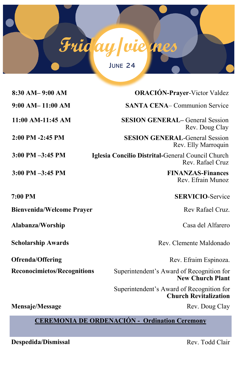

| $8:30$ AM- $9:00$ AM               | <b>ORACIÓN-Prayer-Victor Valdez</b>                                       |
|------------------------------------|---------------------------------------------------------------------------|
| $9:00$ AM- $11:00$ AM              | <b>SANTA CENA– Communion Service</b>                                      |
| 11:00 AM-11:45 AM                  | <b>SESION GENERAL-General Session</b><br>Rev. Doug Clay                   |
| 2:00 PM -2:45 PM                   | <b>SESION GENERAL-General Session</b><br>Rev. Elly Marroquin              |
| $3:00$ PM $-3:45$ PM               | Iglesia Concilio Distrital-General Council Church<br>Rev. Rafael Cruz     |
| $3:00$ PM $-3:45$ PM               | <b>FINANZAS-Finances</b><br>Rev. Efrain Munoz                             |
| 7:00 PM                            | <b>SERVICIO-Service</b>                                                   |
| <b>Bienvenida/Welcome Prayer</b>   | Rev Rafael Cruz.                                                          |
| Alabanza/Worship                   | Casa del Alfarero                                                         |
| <b>Scholarship Awards</b>          | Rev. Clemente Maldonado                                                   |
| <b>Ofrenda/Offering</b>            | Rev. Efraim Espinoza.                                                     |
| <b>Reconocimietos/Recognitions</b> | Superintendent's Award of Recognition for<br><b>New Church Plant</b>      |
|                                    | Superintendent's Award of Recognition for<br><b>Church Revitalization</b> |
| Mensaje/Message                    | Rev. Doug Clay                                                            |

## **CEREMONIA DE ORDENACIÓN - Ordination Ceremony**

**Despedida/Dismissal** Rev. Todd Clair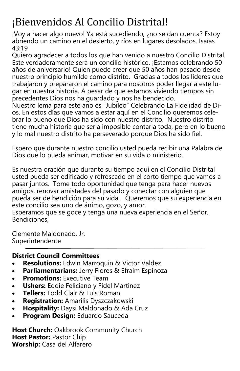# ¡Bienvenidos Al Concilio Distrital!

¡Voy a hacer algo nuevo! Ya está sucediendo, ¿no se dan cuenta? Estoy abriendo un camino en el desierto, y ríos en lugares desolados. Isaías 43:19

Quiero agradecer a todos los que han venido a nuestro Concilio Distrital. Este verdaderamente será un concilio histórico. ¡Estamos celebrando 50 años de aniversario! Quien puede creer que 50 años han pasado desde nuestro principio humilde como distrito. Gracias a todos los lideres que trabajaron y prepararon el camino para nosotros poder llegar a este lugar en nuestra historia. A pesar de que estamos viviendo tiempos sin precedentes Dios nos ha guardado y nos ha bendecido.

Nuestro lema para este ano es "Jubileo" Celebrando La Fidelidad de Dios. En estos días que vamos a estar aquí en el Concilio queremos celebrar lo bueno que Dios ha sido con nuestro distrito. Nuestro distrito tiene mucha historia que sería imposible contarla toda, pero en lo bueno y lo mal nuestro distrito ha perseverado porque Dios ha sido fiel.

Espero que durante nuestro concilio usted pueda recibir una Palabra de Dios que lo pueda animar, motivar en su vida o ministerio.

Es nuestra oración que durante su tiempo aquí en el Concilio Distrital usted pueda ser edificado y refrescado en el corto tiempo que vamos a pasar juntos. Tome todo oportunidad que tenga para hacer nuevos amigos, renovar amistades del pasado y conectar con alguien que pueda ser de bendición para su vida. Queremos que su experiencia en este concilio sea uno de ánimo, gozo, y amor.

Esperamos que se goce y tenga una nueva experiencia en el Señor. Bendiciones,

Clemente Maldonado, Jr. Superintendente

## **District Council Committees**

- **Resolutions:** Edwin Marroquin & Victor Valdez
- **Parliamentarians:** Jerry Flores & Efraim Espinoza
- **Promotions:** Executive Team
- **Ushers:** Eddie Feliciano y Fidel Martinez
- **Tellers:** Todd Clair & Luis Roman
- **Registration:** Amarilis Dyszczakowski
- **Hospitality:** Daysi Maldonado & Ada Cruz
- **Program Design:** Eduardo Sauceda

**Host Church:** Oakbrook Community Church **Host Pastor:** Pastor Chip **Worship:** Casa del Alfarero